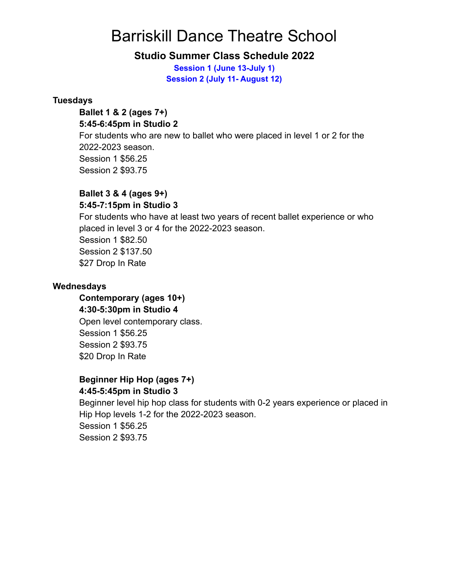# Barriskill Dance Theatre School

# **Studio Summer Class Schedule 2022**

**Session 1 (June 13-July 1) Session 2 (July 11- August 12)**

### **Tuesdays**

#### **Ballet 1 & 2 (ages 7+) 5:45-6:45pm in Studio 2**

For students who are new to ballet who were placed in level 1 or 2 for the 2022-2023 season. Session 1 \$56.25 Session 2 \$93.75

### **Ballet 3 & 4 (ages 9+) 5:45-7:15pm in Studio 3**

For students who have at least two years of recent ballet experience or who placed in level 3 or 4 for the 2022-2023 season. Session 1 \$82.50 Session 2 \$137.50 \$27 Drop In Rate

### **Wednesdays**

**Contemporary (ages 10+) 4:30-5:30pm in Studio 4** Open level contemporary class. Session 1 \$56.25 Session 2 \$93.75 \$20 Drop In Rate

### **Beginner Hip Hop (ages 7+) 4:45-5:45pm in Studio 3**

Beginner level hip hop class for students with 0-2 years experience or placed in Hip Hop levels 1-2 for the 2022-2023 season. Session 1 \$56.25 Session 2 \$93.75